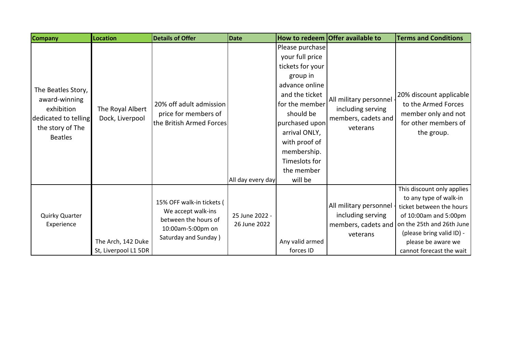| <b>Company</b>                                                                                                  | <b>Location</b>                            | <b>Details of Offer</b>                                                                                              | <b>Date</b>                    |                                                                                                                                                                                                                                                    | How to redeem Offer available to                                                   | <b>Terms and Conditions</b>                                                                                                                                                                                           |
|-----------------------------------------------------------------------------------------------------------------|--------------------------------------------|----------------------------------------------------------------------------------------------------------------------|--------------------------------|----------------------------------------------------------------------------------------------------------------------------------------------------------------------------------------------------------------------------------------------------|------------------------------------------------------------------------------------|-----------------------------------------------------------------------------------------------------------------------------------------------------------------------------------------------------------------------|
| The Beatles Story,<br>award-winning<br>exhibition<br>dedicated to telling<br>the story of The<br><b>Beatles</b> | The Royal Albert<br>Dock, Liverpool        | 20% off adult admission<br>price for members of<br>the British Armed Forces                                          | All day every day              | Please purchase<br>your full price<br>tickets for your<br>group in<br>advance online<br>and the ticket<br>for the member<br>should be<br>purchased upon<br>arrival ONLY,<br>with proof of<br>membership.<br>Timeslots for<br>the member<br>will be | All military personnel -<br>including serving<br>members, cadets and<br>veterans   | 20% discount applicable<br>to the Armed Forces<br>member only and not<br>for other members of<br>the group.                                                                                                           |
| Quirky Quarter<br>Experience                                                                                    | The Arch, 142 Duke<br>St, Liverpool L1 5DR | 15% OFF walk-in tickets (<br>We accept walk-ins<br>between the hours of<br>10:00am-5:00pm on<br>Saturday and Sunday) | 25 June 2022 -<br>26 June 2022 | Any valid armed<br>forces ID                                                                                                                                                                                                                       | All military personnel -<br>including serving<br>members, cadets and  <br>veterans | This discount only applies<br>to any type of walk-in<br>ticket between the hours<br>of 10:00am and 5:00pm<br>on the 25th and 26th June<br>(please bring valid ID) -<br>please be aware we<br>cannot forecast the wait |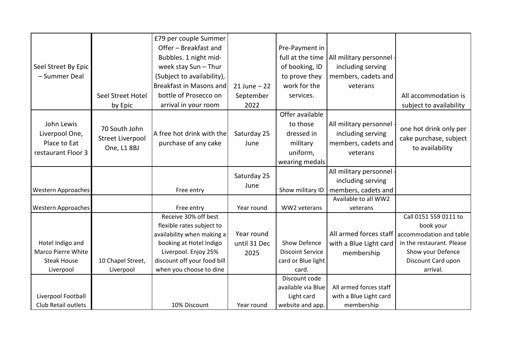|                           |                   | £79 per couple Summer       |                 |                         |                          |                           |
|---------------------------|-------------------|-----------------------------|-----------------|-------------------------|--------------------------|---------------------------|
|                           |                   | Offer - Breakfast and       |                 | Pre-Payment in          |                          |                           |
|                           |                   | Bubbles. 1 night mid-       |                 | full at the time        | All military personnel - |                           |
| Seel Street By Epic       |                   | week stay Sun - Thur        |                 | of booking, ID          | including serving        |                           |
| - Summer Deal             |                   | (Subject to availability),  |                 | to prove they           | members, cadets and      |                           |
|                           |                   | Breakfast in Masons and     | $21$ June $-22$ | work for the            | veterans                 |                           |
|                           | Seel Street Hotel | bottle of Prosecco on       | September       | services.               |                          | All accommodation is      |
|                           | by Epic           | arrival in your room        | 2022            |                         |                          | subject to availability   |
|                           |                   |                             |                 | Offer available         |                          |                           |
| John Lewis                |                   |                             |                 | to those                | All military personnel - |                           |
| Liverpool One,            | 70 South John     | A free hot drink with the   | Saturday 25     | dressed in              | including serving        | one hot drink only per    |
| Place to Eat              | Street Liverpool  | purchase of any cake        | June            | military                | members, cadets and      | cake purchase, subject    |
| restaurant Floor 3        | One, L1 8BJ       |                             |                 | uniform,                | veterans                 | to availability           |
|                           |                   |                             |                 | wearing medals          |                          |                           |
|                           |                   |                             |                 |                         | All military personnel   |                           |
|                           |                   |                             | Saturday 25     |                         | including serving        |                           |
| <b>Western Approaches</b> |                   | Free entry                  | June            | Show military ID        | members, cadets and      |                           |
|                           |                   |                             |                 |                         | Available to all WW2     |                           |
| <b>Western Approaches</b> |                   | Free entry                  | Year round      | WW2 veterans            | veterans                 |                           |
|                           |                   | Receive 30% off best        |                 |                         |                          | Call 0151 559 0111 to     |
|                           |                   | flexible rates subject to   |                 |                         |                          | book your                 |
|                           |                   | availability when making a  | Year round      |                         | All armed forces staff   | accommodation and table   |
| Hotel Indigo and          |                   | booking at Hotel Indigo     | until 31 Dec    | Show Defence            | with a Blue Light card   | in the restaurant. Please |
| Marco Pierre White        |                   | Liverpool. Enjoy 25%        | 2025            | <b>Discoint Service</b> | membership               | Show your Defence         |
| <b>Steak House</b>        | 10 Chapel Street, | discount off your food bill |                 | card or Blue light      |                          | Discount Card upon        |
| Liverpool                 | Liverpool         | when you choose to dine     |                 | card.                   |                          | arrival.                  |
|                           |                   |                             |                 | Discount code           |                          |                           |
|                           |                   |                             |                 | available via Blue      | All armed forces staff   |                           |
| Liverpool Football        |                   |                             |                 | Light card              | with a Blue Light card   |                           |
| Club Retail outlets       |                   | 10% Discount                | Year round      | website and app.        | membership               |                           |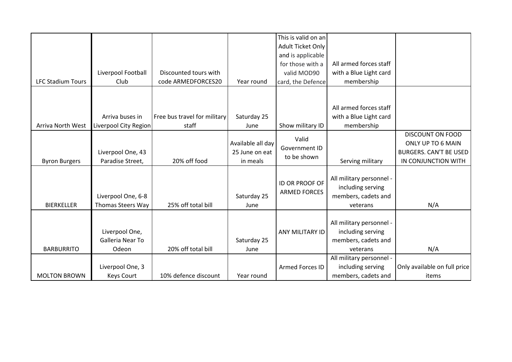|                          |                          |                              |                   | This is valid on an   |                          |                              |
|--------------------------|--------------------------|------------------------------|-------------------|-----------------------|--------------------------|------------------------------|
|                          |                          |                              |                   | Adult Ticket Only     |                          |                              |
|                          |                          |                              |                   | and is applicable     |                          |                              |
|                          |                          |                              |                   | for those with a      | All armed forces staff   |                              |
|                          | Liverpool Football       | Discounted tours with        |                   | valid MOD90           | with a Blue Light card   |                              |
| <b>LFC Stadium Tours</b> | Club                     | code ARMEDFORCES20           | Year round        | card, the Defence     | membership               |                              |
|                          |                          |                              |                   |                       |                          |                              |
|                          |                          |                              |                   |                       |                          |                              |
|                          |                          |                              |                   |                       | All armed forces staff   |                              |
|                          | Arriva buses in          | Free bus travel for military | Saturday 25       |                       | with a Blue Light card   |                              |
| Arriva North West        | Liverpool City Region    | staff                        | June              | Show military ID      | membership               |                              |
|                          |                          |                              |                   |                       |                          | <b>DISCOUNT ON FOOD</b>      |
|                          |                          |                              | Available all day | Valid                 |                          | ONLY UP TO 6 MAIN            |
|                          | Liverpool One, 43        |                              | 25 June on eat    | Government ID         |                          | BURGERS. CAN'T BE USED       |
| <b>Byron Burgers</b>     | Paradise Street,         | 20% off food                 | in meals          | to be shown           | Serving military         | IN CONJUNCTION WITH          |
|                          |                          |                              |                   |                       |                          |                              |
|                          |                          |                              |                   |                       | All military personnel - |                              |
|                          |                          |                              |                   | <b>ID OR PROOF OF</b> | including serving        |                              |
|                          | Liverpool One, 6-8       |                              | Saturday 25       | <b>ARMED FORCES</b>   | members, cadets and      |                              |
| <b>BIERKELLER</b>        | <b>Thomas Steers Way</b> | 25% off total bill           | June              |                       | veterans                 | N/A                          |
|                          |                          |                              |                   |                       |                          |                              |
|                          |                          |                              |                   |                       | All military personnel - |                              |
|                          | Liverpool One,           |                              |                   | ANY MILITARY ID       | including serving        |                              |
|                          | Galleria Near To         |                              | Saturday 25       |                       | members, cadets and      |                              |
| <b>BARBURRITO</b>        | Odeon                    | 20% off total bill           | June              |                       | veterans                 | N/A                          |
|                          |                          |                              |                   |                       | All military personnel - |                              |
|                          | Liverpool One, 3         |                              |                   | Armed Forces ID       | including serving        | Only available on full price |
| <b>MOLTON BROWN</b>      | <b>Keys Court</b>        | 10% defence discount         | Year round        |                       | members, cadets and      | items                        |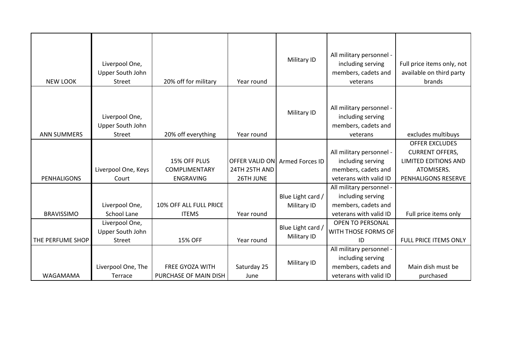| <b>NEW LOOK</b>    | Liverpool One,<br>Upper South John<br>Street        | 20% off for military                                     | Year round                 | Military ID                      | All military personnel -<br>including serving<br>members, cadets and<br>veterans               | Full price items only, not<br>available on third party<br>brands                                                    |
|--------------------|-----------------------------------------------------|----------------------------------------------------------|----------------------------|----------------------------------|------------------------------------------------------------------------------------------------|---------------------------------------------------------------------------------------------------------------------|
| <b>ANN SUMMERS</b> | Liverpool One,<br>Upper South John<br>Street        | 20% off everything                                       | Year round                 | Military ID                      | All military personnel -<br>including serving<br>members, cadets and<br>veterans               | excludes multibuys                                                                                                  |
| PENHALIGONS        | Liverpool One, Keys<br>Court                        | 15% OFF PLUS<br><b>COMPLIMENTARY</b><br><b>ENGRAVING</b> | 24TH 25TH AND<br>26TH JUNE | OFFER VALID ON Armed Forces ID   | All military personnel -<br>including serving<br>members, cadets and<br>veterans with valid ID | <b>OFFER EXCLUDES</b><br><b>CURRENT OFFERS,</b><br><b>LIMITED EDITIONS AND</b><br>ATOMISERS.<br>PENHALIGONS RESERVE |
| <b>BRAVISSIMO</b>  | Liverpool One,<br><b>School Lane</b>                | 10% OFF ALL FULL PRICE<br><b>ITEMS</b>                   | Year round                 | Blue Light card /<br>Military ID | All military personnel -<br>including serving<br>members, cadets and<br>veterans with valid ID | Full price items only                                                                                               |
| THE PERFUME SHOP   | Liverpool One,<br>Upper South John<br><b>Street</b> | <b>15% OFF</b>                                           | Year round                 | Blue Light card /<br>Military ID | <b>OPEN TO PERSONAL</b><br>WITH THOSE FORMS OF<br>ID                                           | FULL PRICE ITEMS ONLY                                                                                               |
| WAGAMAMA           | Liverpool One, The<br>Terrace                       | FREE GYOZA WITH<br>PURCHASE OF MAIN DISH                 | Saturday 25<br>June        | Military ID                      | All military personnel -<br>including serving<br>members, cadets and<br>veterans with valid ID | Main dish must be<br>purchased                                                                                      |